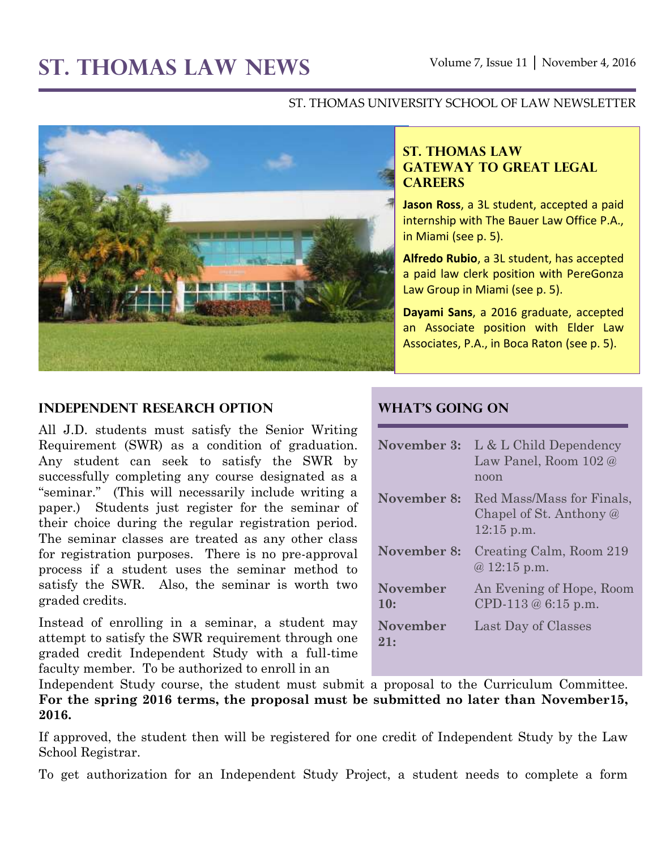# **ST. THOMAS LAW NEWS** Volume 7, Issue 11 │ November 4, 2016

#### ST. THOMAS UNIVERSITY SCHOOL OF LAW NEWSLETTER



#### **ST. THOMAS LAW GATEWAY TO GREAT LEGAL CAREERS**

**Jason Ross**, a 3L student, accepted a paid internship with The Bauer Law Office P.A., in Miami (see p. 5).

**Alfredo Rubio**, a 3L student, has accepted a paid law clerk position with PereGonza Law Group in Miami (see p. 5).

**Dayami Sans**, a 2016 graduate, accepted an Associate position with Elder Law Associates, P.A., in Boca Raton (see p. 5).

#### **Independent Research Option**

All J.D. students must satisfy the Senior Writing Requirement (SWR) as a condition of graduation. Any student can seek to satisfy the SWR by successfully completing any course designated as a "seminar." (This will necessarily include writing a paper.) Students just register for the seminar of their choice during the regular registration period. The seminar classes are treated as any other class for registration purposes. There is no pre-approval process if a student uses the seminar method to satisfy the SWR. Also, the seminar is worth two graded credits.

Instead of enrolling in a seminar, a student may attempt to satisfy the SWR requirement through one graded credit Independent Study with a full-time faculty member. To be authorized to enroll in an

#### **What's Going On**

| November 3:            | L & L Child Dependency<br>Law Panel, Room 102 @<br>noon              |
|------------------------|----------------------------------------------------------------------|
| November 8:            | Red Mass/Mass for Finals,<br>Chapel of St. Anthony @<br>$12:15$ p.m. |
| November 8:            | Creating Calm, Room 219<br>$@12:15$ p.m.                             |
| <b>November</b><br>10: | An Evening of Hope, Room<br>CPD-113 $@6:15$ p.m.                     |
| <b>November</b><br>21: | Last Day of Classes                                                  |

Independent Study course, the student must submit a proposal to the Curriculum Committee. **For the spring 2016 terms, the proposal must be submitted no later than November15, 2016.**

If approved, the student then will be registered for one credit of Independent Study by the Law School Registrar.

To get authorization for an Independent Study Project, a student needs to complete a form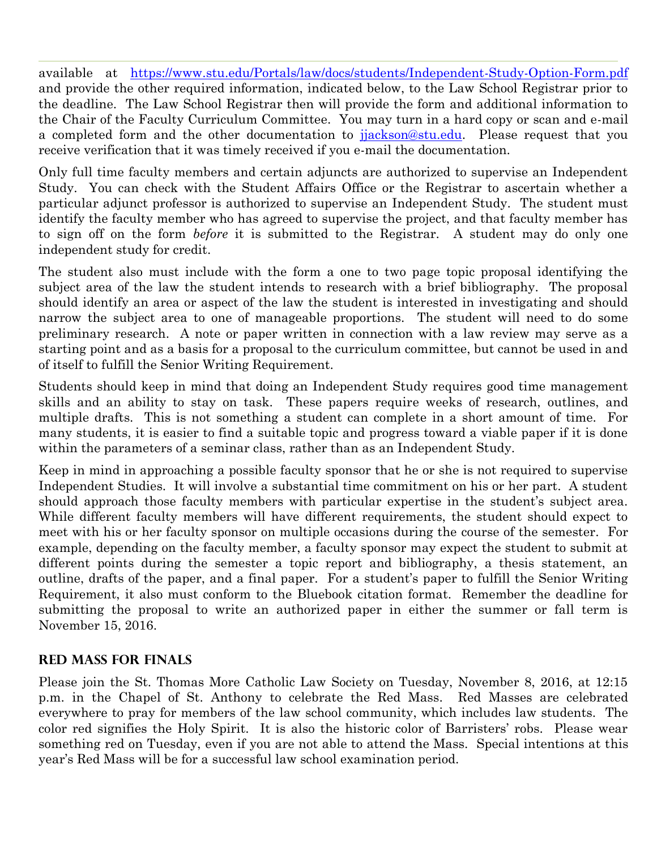available at <https://www.stu.edu/Portals/law/docs/students/Independent-Study-Option-Form.pdf> and provide the other required information, indicated below, to the Law School Registrar prior to the deadline. The Law School Registrar then will provide the form and additional information to the Chair of the Faculty Curriculum Committee. You may turn in a hard copy or scan and e-mail a completed form and the other documentation to [jjackson@stu.edu.](mailto:jjackson@stu.edu) Please request that you receive verification that it was timely received if you e-mail the documentation.

Only full time faculty members and certain adjuncts are authorized to supervise an Independent Study. You can check with the Student Affairs Office or the Registrar to ascertain whether a particular adjunct professor is authorized to supervise an Independent Study. The student must identify the faculty member who has agreed to supervise the project, and that faculty member has to sign off on the form *before* it is submitted to the Registrar. A student may do only one independent study for credit.

The student also must include with the form a one to two page topic proposal identifying the subject area of the law the student intends to research with a brief bibliography. The proposal should identify an area or aspect of the law the student is interested in investigating and should narrow the subject area to one of manageable proportions. The student will need to do some preliminary research. A note or paper written in connection with a law review may serve as a starting point and as a basis for a proposal to the curriculum committee, but cannot be used in and of itself to fulfill the Senior Writing Requirement.

Students should keep in mind that doing an Independent Study requires good time management skills and an ability to stay on task. These papers require weeks of research, outlines, and multiple drafts. This is not something a student can complete in a short amount of time. For many students, it is easier to find a suitable topic and progress toward a viable paper if it is done within the parameters of a seminar class, rather than as an Independent Study.

Keep in mind in approaching a possible faculty sponsor that he or she is not required to supervise Independent Studies. It will involve a substantial time commitment on his or her part. A student should approach those faculty members with particular expertise in the student's subject area. While different faculty members will have different requirements, the student should expect to meet with his or her faculty sponsor on multiple occasions during the course of the semester. For example, depending on the faculty member, a faculty sponsor may expect the student to submit at different points during the semester a topic report and bibliography, a thesis statement, an outline, drafts of the paper, and a final paper. For a student's paper to fulfill the Senior Writing Requirement, it also must conform to the Bluebook citation format. Remember the deadline for submitting the proposal to write an authorized paper in either the summer or fall term is November 15, 2016.

#### **Red Mass for Finals**

Please join the St. Thomas More Catholic Law Society on Tuesday, November 8, 2016, at 12:15 p.m. in the Chapel of St. Anthony to celebrate the Red Mass. Red Masses are celebrated everywhere to pray for members of the law school community, which includes law students. The color red signifies the Holy Spirit. It is also the historic color of Barristers' robs. Please wear something red on Tuesday, even if you are not able to attend the Mass. Special intentions at this year's Red Mass will be for a successful law school examination period.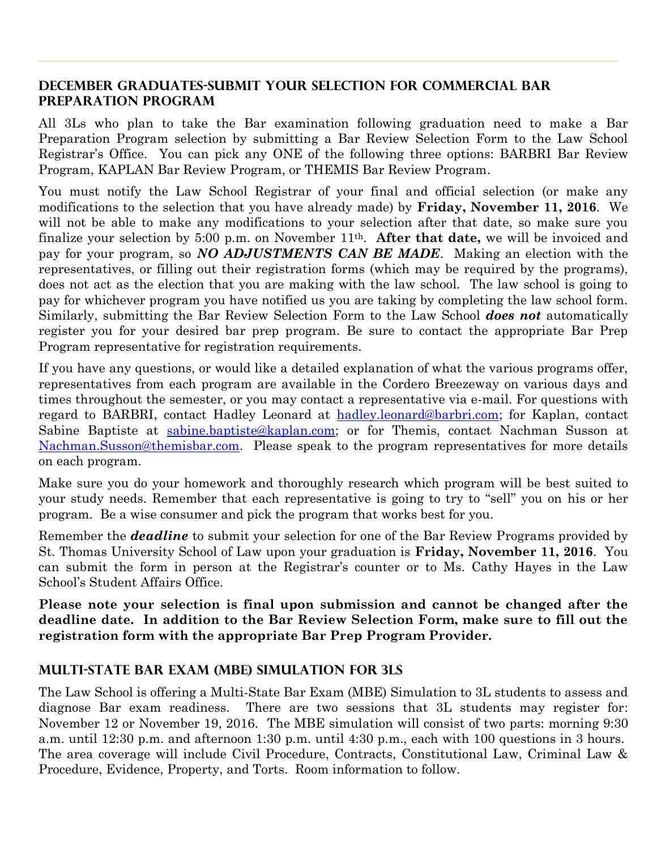#### **December Graduates-Submit your selection for Commercial Bar Preparation Program**

All 3Ls who plan to take the Bar examination following graduation need to make a Bar Preparation Program selection by submitting a Bar Review Selection Form to the Law School Registrar's Office. You can pick any ONE of the following three options: BARBRI Bar Review Program, KAPLAN Bar Review Program, or THEMIS Bar Review Program.

You must notify the Law School Registrar of your final and official selection (or make any modifications to the selection that you have already made) by **Friday, November 11, 2016**. We will not be able to make any modifications to your selection after that date, so make sure you finalize your selection by 5:00 p.m. on November 11th. **After that date,** we will be invoiced and pay for your program, so *NO ADJUSTMENTS CAN BE MADE*. Making an election with the representatives, or filling out their registration forms (which may be required by the programs), does not act as the election that you are making with the law school. The law school is going to pay for whichever program you have notified us you are taking by completing the law school form. Similarly, submitting the Bar Review Selection Form to the Law School *does not* automatically register you for your desired bar prep program. Be sure to contact the appropriate Bar Prep Program representative for registration requirements.

If you have any questions, or would like a detailed explanation of what the various programs offer, representatives from each program are available in the Cordero Breezeway on various days and times throughout the semester, or you may contact a representative via e-mail. For questions with regard to BARBRI, contact Hadley Leonard at [hadley.leonard@barbri.com;](mailto:hadley.leonard@barbri.com) for Kaplan, contact Sabine Baptiste at [sabine.baptiste@kaplan.com;](mailto:sabine.baptiste@kaplan.com) or for Themis, contact Nachman Susson at [Nachman.Susson@themisbar.com.](mailto:Nachman.Susson@themisbar.com) Please speak to the program representatives for more details on each program.

Make sure you do your homework and thoroughly research which program will be best suited to your study needs. Remember that each representative is going to try to "sell" you on his or her program. Be a wise consumer and pick the program that works best for you.

Remember the *deadline* to submit your selection for one of the Bar Review Programs provided by St. Thomas University School of Law upon your graduation is **Friday, November 11, 2016**. You can submit the form in person at the Registrar's counter or to Ms. Cathy Hayes in the Law School's Student Affairs Office.

**Please note your selection is final upon submission and cannot be changed after the deadline date. In addition to the Bar Review Selection Form, make sure to fill out the registration form with the appropriate Bar Prep Program Provider.**

#### **MulTI-State Bar Exam (MBE) Simulation for 3LS**

The Law School is offering a Multi-State Bar Exam (MBE) Simulation to 3L students to assess and diagnose Bar exam readiness. There are two sessions that 3L students may register for: November 12 or November 19, 2016. The MBE simulation will consist of two parts: morning 9:30 a.m. until 12:30 p.m. and afternoon 1:30 p.m. until 4:30 p.m., each with 100 questions in 3 hours. The area coverage will include Civil Procedure, Contracts, Constitutional Law, Criminal Law & Procedure, Evidence, Property, and Torts. Room information to follow.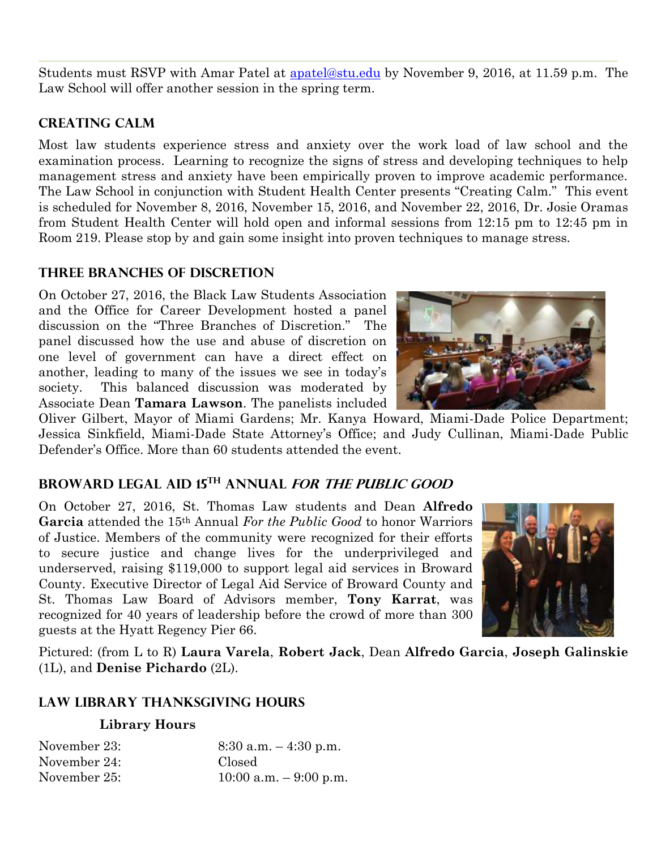Students must RSVP with Amar Patel at [apatel@stu.edu](mailto:apatel@stu.edu) by November 9, 2016, at 11.59 p.m. The Law School will offer another session in the spring term.

### **Creating Calm**

Most law students experience stress and anxiety over the work load of law school and the examination process. Learning to recognize the signs of stress and developing techniques to help management stress and anxiety have been empirically proven to improve academic performance. The Law School in conjunction with Student Health Center presents "Creating Calm." This event is scheduled for November 8, 2016, November 15, 2016, and November 22, 2016, Dr. Josie Oramas from Student Health Center will hold open and informal sessions from 12:15 pm to 12:45 pm in Room 219. Please stop by and gain some insight into proven techniques to manage stress.

## **Three Branches of Discretion**

On October 27, 2016, the Black Law Students Association and the Office for Career Development hosted a panel discussion on the "Three Branches of Discretion." The panel discussed how the use and abuse of discretion on one level of government can have a direct effect on another, leading to many of the issues we see in today's society. This balanced discussion was moderated by Associate Dean **Tamara Lawson**. The panelists included

Oliver Gilbert, Mayor of Miami Gardens; Mr. Kanya Howard, Miami-Dade Police Department; Jessica Sinkfield, Miami-Dade State Attorney's Office; and Judy Cullinan, Miami-Dade Public Defender's Office. More than 60 students attended the event.

## **Broward Legal Aid 15th Annual for the Public Good**

On October 27, 2016, St. Thomas Law students and Dean **Alfredo Garcia** attended the 15th Annual *For the Public Good* to honor Warriors of Justice. Members of the community were recognized for their efforts to secure justice and change lives for the underprivileged and underserved, raising \$119,000 to support legal aid services in Broward County. Executive Director of Legal Aid Service of Broward County and St. Thomas Law Board of Advisors member, **Tony Karrat**, was recognized for 40 years of leadership before the crowd of more than 300 guests at the Hyatt Regency Pier 66.



Pictured: (from L to R) **Laura Varela**, **Robert Jack**, Dean **Alfredo Garcia**, **Joseph Galinskie** (1L), and **Denise Pichardo** (2L).

## **Law Library Thanksgiving Hours**

#### **Library Hours**

| November 23: | $8:30$ a.m. $-4:30$ p.m.  |
|--------------|---------------------------|
| November 24: | Closed                    |
| November 25: | $10:00$ a.m. $-9:00$ p.m. |

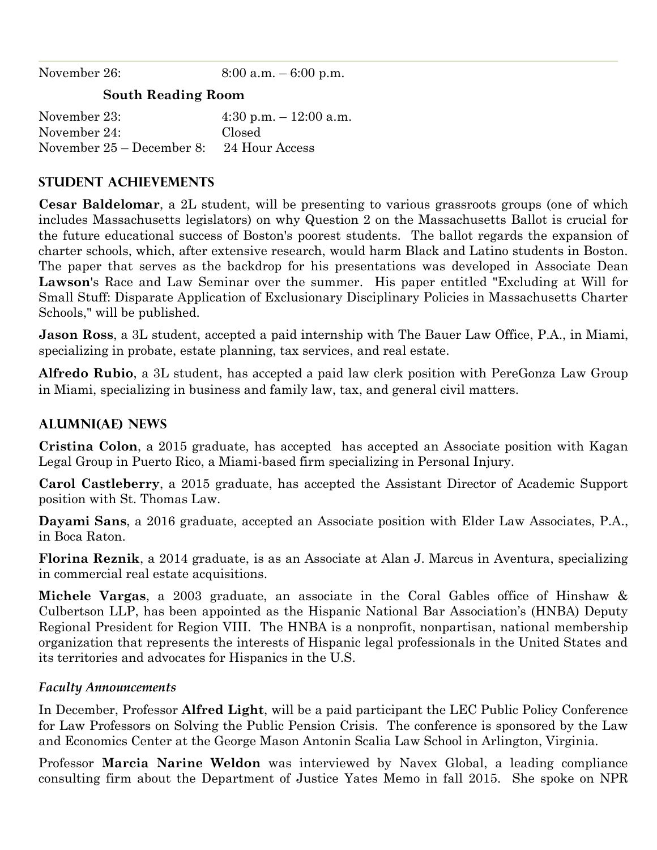November 26: 8:00 a.m. – 6:00 p.m. **South Reading Room**

November 23: 4:30 p.m. – 12:00 a.m. November 24: Closed November 25 – December 8: 24 Hour Access

## **STUDENT ACHIEVEMENTS**

**Cesar Baldelomar**, a 2L student, will be presenting to various grassroots groups (one of which includes Massachusetts legislators) on why Question 2 on the Massachusetts Ballot is crucial for the future educational success of Boston's poorest students. The ballot regards the expansion of charter schools, which, after extensive research, would harm Black and Latino students in Boston. The paper that serves as the backdrop for his presentations was developed in Associate Dean **Lawson**'s Race and Law Seminar over the summer. His paper entitled "Excluding at Will for Small Stuff: Disparate Application of Exclusionary Disciplinary Policies in Massachusetts Charter Schools," will be published.

**Jason Ross**, a 3L student, accepted a paid internship with The Bauer Law Office, P.A., in Miami, specializing in probate, estate planning, tax services, and real estate.

**Alfredo Rubio**, a 3L student, has accepted a paid law clerk position with PereGonza Law Group in Miami, specializing in business and family law, tax, and general civil matters.

### **ALUMNI(AE) NEWS**

**Cristina Colon**, a 2015 graduate, has accepted has accepted an Associate position with Kagan Legal Group in Puerto Rico, a Miami-based firm specializing in Personal Injury.

**Carol Castleberry**, a 2015 graduate, has accepted the Assistant Director of Academic Support position with St. Thomas Law.

**Dayami Sans**, a 2016 graduate, accepted an Associate position with Elder Law Associates, P.A., in Boca Raton.

**Florina Reznik**, a 2014 graduate, is as an Associate at Alan J. Marcus in Aventura, specializing in commercial real estate acquisitions.

**Michele Vargas**, a 2003 graduate, an associate in the Coral Gables office of Hinshaw & Culbertson LLP, has been appointed as the Hispanic National Bar Association's (HNBA) Deputy Regional President for Region VIII. The HNBA is a nonprofit, nonpartisan, national membership organization that represents the interests of Hispanic legal professionals in the United States and its territories and advocates for Hispanics in the U.S.

#### *Faculty Announcements*

In December, Professor **Alfred Light**, will be a paid participant the LEC Public Policy Conference for Law Professors on Solving the Public Pension Crisis. The conference is sponsored by the Law and Economics Center at the George Mason Antonin Scalia Law School in Arlington, Virginia.

Professor **Marcia Narine Weldon** was interviewed by Navex Global, a leading compliance consulting firm about the Department of Justice Yates Memo in fall 2015. She spoke on NPR